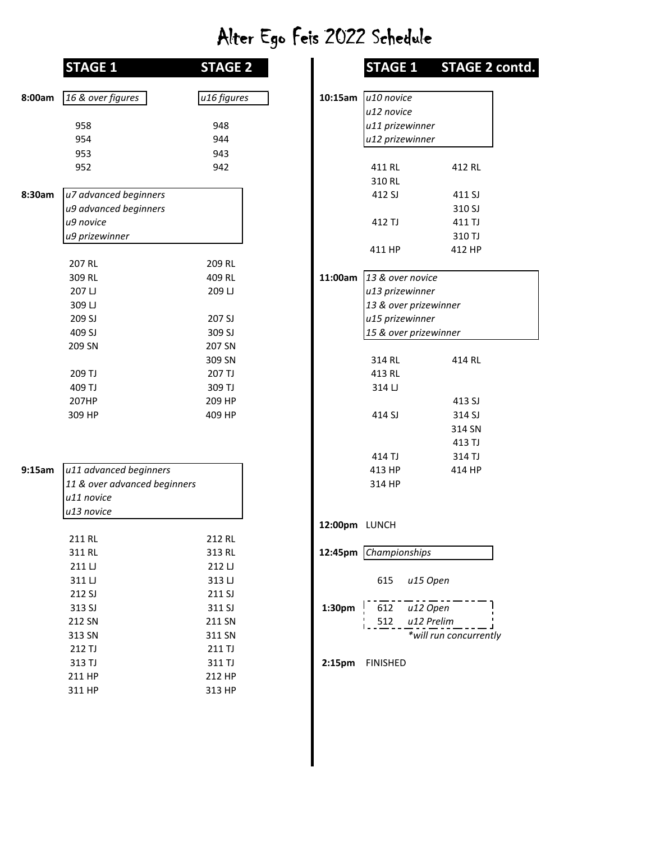## Alter Ego Feis 2022 Schedule

|        | <b>STAGE 1</b>               | <b>STAGE 2</b> |                    | <b>STAGE 1</b>        | <b>STAGE</b>       |
|--------|------------------------------|----------------|--------------------|-----------------------|--------------------|
|        |                              |                |                    |                       |                    |
| 8:00am | 16 & over figures            | u16 figures    | 10:15am            | u10 novice            |                    |
|        |                              |                |                    | u12 novice            |                    |
|        | 958                          | 948            |                    | u11 prizewinner       |                    |
|        | 954                          | 944            |                    | u12 prizewinner       |                    |
|        | 953                          | 943            |                    |                       |                    |
|        | 952                          | 942            |                    | 411 RL                | 412 RL             |
|        |                              |                |                    | 310 RL                |                    |
| 8:30am | u7 advanced beginners        |                |                    | 412 SJ                | 411 SJ             |
|        | u9 advanced beginners        |                |                    |                       | 310 SJ             |
|        | u9 novice                    |                |                    | 412 TJ                | 411 TJ             |
|        | u9 prizewinner               |                |                    |                       | 310 TJ             |
|        | 207 RL                       | 209 RL         |                    | 411 HP                | 412 HP             |
|        | 309 RL                       | 409 RL         | 11:00am            | 13 & over novice      |                    |
|        | 207 LJ                       | 209 LJ         |                    | u13 prizewinner       |                    |
|        | 309 LJ                       |                |                    | 13 & over prizewinner |                    |
|        | 209 SJ                       | 207 SJ         |                    | u15 prizewinner       |                    |
|        | 409 SJ                       | 309 SJ         |                    | 15 & over prizewinner |                    |
|        | 209 SN                       | 207 SN         |                    |                       |                    |
|        |                              | 309 SN         |                    | 314 RL                | 414 RL             |
|        | 209 TJ                       | 207 TJ         |                    | 413 RL                |                    |
|        | 409 TJ                       | 309 TJ         |                    | 314 LJ                |                    |
|        | 207HP                        | 209 HP         |                    |                       | 413 SJ             |
|        | 309 HP                       | 409 HP         |                    | 414 SJ                | 314 SJ             |
|        |                              |                |                    |                       | 314 SN             |
|        |                              |                |                    |                       | 413 TJ             |
|        |                              |                |                    | 414 TJ                | 314 TJ             |
| 9:15am | u11 advanced beginners       |                |                    | 413 HP                | 414 HP             |
|        | 11 & over advanced beginners |                |                    | 314 HP                |                    |
|        | u11 novice                   |                |                    |                       |                    |
|        | u13 novice                   |                |                    |                       |                    |
|        |                              |                | 12:00pm LUNCH      |                       |                    |
|        | 211 RL                       | 212 RL         |                    |                       |                    |
|        | 311 RL                       | 313 RL         |                    | 12:45pm Championships |                    |
|        | 211 LJ                       | 212 LJ         |                    |                       |                    |
|        | 311 LJ                       | 313 LJ         |                    | 615                   | u15 Open           |
|        | 212 SJ                       | 211 SJ         |                    |                       |                    |
|        | 313 SJ                       | 311 SJ         | 1:30pm             | 612                   | u12 Open           |
|        | 212 SN                       | 211 SN         |                    | 512                   | u12 Prelim         |
|        | 313 SN                       | 311 SN         |                    |                       | *will run concurre |
|        | 212 TJ                       | 211 TJ         |                    |                       |                    |
|        | 313 TJ                       | 311 TJ         | 2:15 <sub>pm</sub> | <b>FINISHED</b>       |                    |
|        | 211 HP                       | 212 HP         |                    |                       |                    |
|        | 311 HP                       | 313 HP         |                    |                       |                    |

| <b>STAGE 1</b>                             | <b>STAGE 2</b> |                    |                        | STAGE 1 STAGE 2 contd. |
|--------------------------------------------|----------------|--------------------|------------------------|------------------------|
| 16 & over figures                          | u16 figures    | 10:15am            | u <sub>10</sub> novice |                        |
|                                            |                |                    | u12 novice             |                        |
| 958                                        | 948            |                    | u11 prizewinner        |                        |
| 954                                        | 944            |                    | u12 prizewinner        |                        |
| 953                                        | 943            |                    |                        |                        |
| 952                                        | 942            |                    | 411 RL                 | 412 RL                 |
|                                            |                |                    | 310 RL                 |                        |
| u7 advanced beginners                      |                |                    | 412 SJ                 | 411 SJ                 |
| u9 advanced beginners                      |                |                    |                        | 310 SJ                 |
| u9 novice                                  |                |                    | 412 TJ                 | 411 TJ                 |
| u9 prizewinner                             |                |                    |                        | 310 TJ                 |
|                                            |                |                    | 411 HP                 | 412 HP                 |
| 207 RL                                     | 209 RL         |                    |                        |                        |
| 309 RL                                     | 409 RL         | 11:00am            | 13 & over novice       |                        |
| 207 LJ                                     | 209 LJ         |                    | u13 prizewinner        |                        |
| 309 LJ                                     |                |                    | 13 & over prizewinner  |                        |
| 209 SJ                                     | 207 SJ         |                    | u15 prizewinner        |                        |
| 409 SJ                                     | 309 SJ         |                    | 15 & over prizewinner  |                        |
| 209 SN                                     | 207 SN         |                    |                        |                        |
|                                            | 309 SN         |                    | 314 RL                 | 414 RL                 |
| 209 TJ                                     | 207 TJ         |                    | 413 RL                 |                        |
| 409 TJ                                     | 309 TJ         |                    | 314 LJ                 |                        |
| 207HP                                      | 209 HP         |                    |                        | 413 SJ                 |
| 309 HP                                     | 409 HP         |                    | 414 SJ                 | 314 SJ                 |
|                                            |                |                    |                        |                        |
|                                            |                |                    |                        | 314 SN                 |
|                                            |                |                    |                        | 413 TJ                 |
|                                            |                |                    | 414 TJ                 | 314 TJ                 |
| u11 advanced beginners                     |                |                    | 413 HP                 | 414 HP                 |
| 11 & over advanced beginners<br>u11 novice |                |                    | 314 HP                 |                        |
|                                            |                |                    |                        |                        |
| u13 novice                                 |                |                    |                        |                        |
| 211 RL                                     | 212 RL         | 12:00pm LUNCH      |                        |                        |
| 311 RL                                     | 313 RL         |                    | 12:45pm Championships  |                        |
| 211 LJ                                     | 212 LJ         |                    |                        |                        |
|                                            |                |                    |                        |                        |
| 311 LJ<br>212 SJ                           | 313 LJ         |                    | 615                    | u15 Open               |
|                                            | 211 SJ         |                    |                        |                        |
| 313 SJ                                     | 311 SJ         | 1:30pm             | 612                    | u12 Open               |
| 212 SN                                     | 211 SN         |                    | 512                    | u12 Prelim             |
| 313 SN                                     | 311 SN         |                    |                        | *will run concurrently |
| 212 TJ                                     | 211 TJ         |                    |                        |                        |
| 313 TJ                                     | 311 TJ         | 2:15 <sub>pm</sub> | <b>FINISHED</b>        |                        |
| 211 HP                                     | 212 HP         |                    |                        |                        |
| 311 HP                                     | 313 HP         |                    |                        |                        |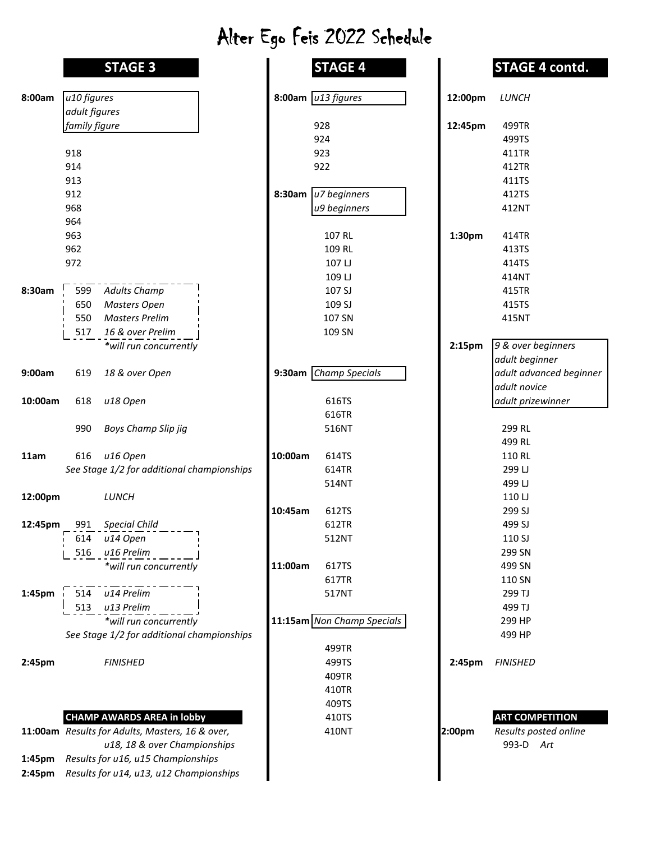## Alter Ego Feis 2022 Schedule

|         |               | <b>STAGE 3</b>                             |         | <b>STAGE 4</b>             |                    | <b>STAGE</b>    |
|---------|---------------|--------------------------------------------|---------|----------------------------|--------------------|-----------------|
| 8:00am  | u10 figures   |                                            |         | 8:00am $u13$ figures       | 12:00pm            | LUNCH           |
|         | adult figures |                                            |         |                            |                    |                 |
|         | family figure |                                            |         | 928                        | 12:45pm            | 499TR           |
|         |               |                                            |         | 924                        |                    | 499TS           |
|         | 918           |                                            |         | 923                        |                    | 411TR           |
|         | 914           |                                            |         | 922                        |                    | 412TR           |
|         | 913           |                                            |         |                            |                    | 411TS           |
|         | 912           |                                            | 8:30am  | u7 beginners               |                    | 412TS           |
|         | 968           |                                            |         | u9 beginners               |                    | 412NT           |
|         | 964           |                                            |         |                            |                    |                 |
|         | 963           |                                            |         | 107 RL                     | 1:30pm             | 414TR           |
|         | 962           |                                            |         | 109 RL                     |                    | 413TS           |
|         | 972           |                                            |         | 107 LJ                     |                    | 414TS           |
|         |               |                                            |         | 109 LJ                     |                    | 414NT           |
| 8:30am  | 599           | <b>Adults Champ</b>                        |         | 107 SJ                     |                    | 415TR           |
|         | 650           | <b>Masters Open</b>                        |         | 109 SJ                     |                    | 415TS           |
|         | 550           | <b>Masters Prelim</b>                      |         | 107 SN                     |                    | 415NT           |
|         | 517           | 16 & over Prelim                           |         | 109 SN                     |                    |                 |
|         |               | *will run concurrently                     |         |                            | 2:15 <sub>pm</sub> | 9 & over l      |
|         |               |                                            |         |                            |                    | adult beg       |
| 9:00am  | 619           | 18 & over Open                             |         | 9:30am Champ Specials      |                    | adult adv       |
|         |               |                                            |         |                            |                    | adult nov       |
| 10:00am | 618           | u18 Open                                   |         | 616TS                      |                    | adult priz      |
|         |               |                                            |         | 616TR                      |                    |                 |
|         | 990           | Boys Champ Slip jig                        |         | 516NT                      |                    | 299 RL          |
|         |               |                                            |         |                            |                    | 499 RL          |
| 11am    | 616           | u16 Open                                   | 10:00am | 614TS                      |                    | 110 RL          |
|         |               | See Stage 1/2 for additional championships |         | 614TR                      |                    | 299 LJ          |
|         |               |                                            |         | 514NT                      |                    | 499 LJ          |
| 12:00pm |               | LUNCH                                      |         |                            |                    | 110 LJ          |
|         |               |                                            | 10:45am | 612TS                      |                    | 299 SJ          |
| 12:45pm | 991           | <b>Special Child</b>                       |         | 612TR                      |                    | 499 SJ          |
|         | 614           | u14 Open                                   |         | 512NT                      |                    | 110 SJ          |
|         | 516           | u16 Prelim                                 |         |                            |                    | 299 SN          |
|         |               | *will run concurrently                     | 11:00am | 617TS                      |                    | 499 SN          |
|         |               |                                            |         | 617TR                      |                    | 110 SN          |
| 1:45pm  | 514           | u14 Prelim                                 |         | 517NT                      |                    | 299 TJ          |
|         | 513           | u13 Prelim                                 |         |                            |                    | 499 TJ          |
|         |               | *will run concurrently                     |         | 11:15am Non Champ Specials |                    | 299 HP          |
|         |               | See Stage 1/2 for additional championships |         |                            |                    | 499 HP          |
|         |               |                                            |         | 499TR                      |                    |                 |
| 2:45pm  |               | <b>FINISHED</b>                            |         | 499TS                      | 2:45pm             | <b>FINISHED</b> |
|         |               |                                            |         | 409TR                      |                    |                 |
|         |               |                                            |         | 410TR                      |                    |                 |
|         |               |                                            |         | 409TS                      |                    |                 |
|         |               | <b>CHAMP AWARDS AREA in lobby</b>          |         | 410TS                      |                    | <b>ART COM</b>  |
|         |               |                                            |         | 110 N IT                   |                    |                 |

|        | 11:00am Results for Adults, Masters, 16 & over, |  |  |  |
|--------|-------------------------------------------------|--|--|--|
|        | u18, 18 & over Championships                    |  |  |  |
| 1:45pm | Results for u16, u15 Championships              |  |  |  |
| 2:45pm | Results for u14, u13, u12 Championships         |  |  |  |

|         | <b>STAGE 3</b>                                  | <b>STAGE 4</b>             |         | <b>STAGE 4 contd.</b>   |
|---------|-------------------------------------------------|----------------------------|---------|-------------------------|
| 8:00am  | u10 figures                                     | 8:00am $ u13$ figures      | 12:00pm | LUNCH                   |
|         | adult figures                                   |                            |         |                         |
|         | family figure                                   | 928                        | 12:45pm | 499TR                   |
|         |                                                 | 924                        |         | 499TS                   |
|         | 918                                             | 923                        |         | 411TR                   |
|         | 914                                             | 922                        |         | 412TR                   |
|         | 913                                             |                            |         | 411TS                   |
|         | 912                                             | u7 beginners<br>8:30am     |         | 412TS                   |
|         | 968                                             | u9 beginners               |         | 412NT                   |
|         | 964                                             |                            |         |                         |
|         | 963                                             | 107 RL                     | 1:30pm  | 414TR                   |
|         | 962                                             | 109 RL                     |         | 413TS                   |
|         | 972                                             | 107 LJ                     |         | 414TS                   |
|         |                                                 | 109 LJ                     |         | 414NT                   |
| 8:30am  | 599<br><b>Adults Champ</b>                      | 107 SJ                     |         | 415TR                   |
|         | 650<br><b>Masters Open</b>                      | 109 SJ                     |         | 415TS                   |
|         | 550<br><b>Masters Prelim</b>                    | 107 SN                     |         | 415NT                   |
|         | 16 & over Prelim<br>517                         | 109 SN                     |         |                         |
|         | *will run concurrently                          |                            | 2:15pm  | 9 & over beginners      |
|         |                                                 |                            |         | adult beginner          |
| 9:00am  | 18 & over Open<br>619                           | 9:30am Champ Specials      |         | adult advanced beginner |
|         |                                                 |                            |         | adult novice            |
| 10:00am | 618<br>u18 Open                                 | 616TS                      |         | adult prizewinner       |
|         |                                                 | 616TR                      |         |                         |
|         | 990<br>Boys Champ Slip jig                      | 516NT                      |         | 299 RL                  |
|         |                                                 |                            |         | 499 RL                  |
| 11am    | u16 Open<br>616                                 | 10:00am<br>614TS           |         | 110 RL                  |
|         | See Stage 1/2 for additional championships      | 614TR                      |         | 299 LJ                  |
|         |                                                 | 514NT                      |         | 499 LJ                  |
| 12:00pm | LUNCH                                           |                            |         | 110 LJ                  |
|         |                                                 | 612TS<br>10:45am           |         | 299 SJ                  |
| 12:45pm | <b>Special Child</b><br>991                     | 612TR                      |         | 499 SJ                  |
|         | 614<br>u14 Open                                 | 512NT                      |         | 110 SJ                  |
|         | u16 Prelim<br>516                               |                            |         | 299 SN                  |
|         | *will run concurrently                          | 11:00am<br>617TS           |         | 499 SN                  |
|         |                                                 | 617TR                      |         | 110 SN                  |
| 1:45pm  | 514<br>u14 Prelim                               | 517NT                      |         | 299 TJ                  |
|         | 513<br>u13 Prelim                               |                            |         | 499 TJ                  |
|         | *will run concurrently                          | 11:15am Non Champ Specials |         | 299 HP                  |
|         | See Stage 1/2 for additional championships      |                            |         | 499 HP                  |
|         |                                                 | 499TR                      |         |                         |
| 2:45pm  | <b>FINISHED</b>                                 | 499TS                      | 2:45pm  | <b>FINISHED</b>         |
|         |                                                 | 409TR                      |         |                         |
|         |                                                 | 410TR                      |         |                         |
|         |                                                 | 409TS                      |         |                         |
|         | <b>CHAMP AWARDS AREA in lobby</b>               | 410TS                      |         | <b>ART COMPETITION</b>  |
|         | 11:00am Results for Adults, Masters, 16 & over, | 410NT                      | 2:00pm  | Results posted online   |
|         | u18, 18 & over Championships                    |                            |         | 993-D Art               |
| 1:45pm  | Results for u16, u15 Championships              |                            |         |                         |
| 2:45pm  | Results for u14, u13, u12 Championships         |                            |         |                         |
|         |                                                 |                            |         |                         |